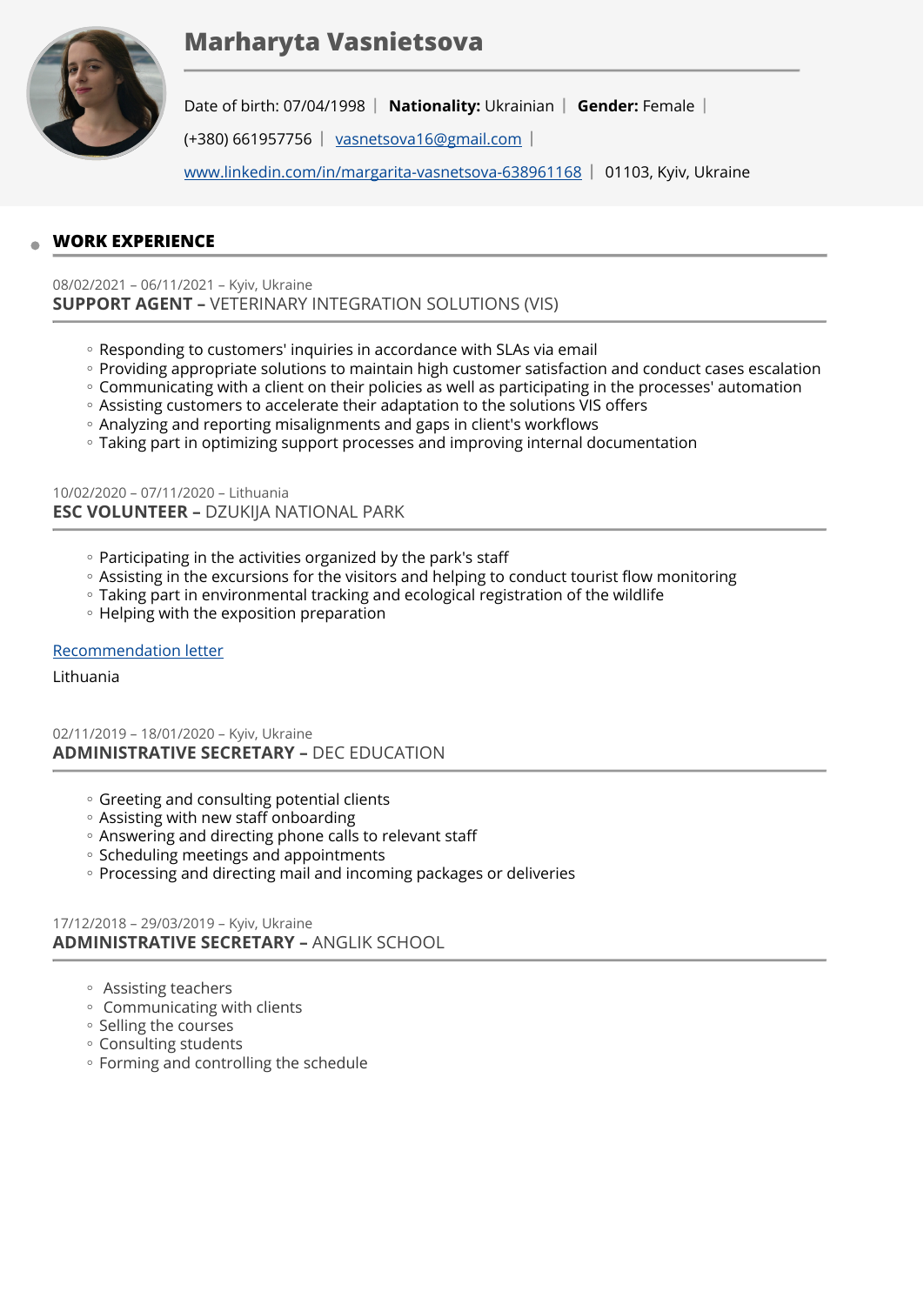# **Marharyta Vasnietsova**



Date of birth: 07/04/1998 | Nationality: Ukrainian | Gender: Female |

(+380) 661957756 | [vasnetsova16@gmail.com](mailto:vasnetsova16@gmail.com) |

[www.linkedin.com/in/margarita-vasnetsova-638961168](http://www.linkedin.com/in/margarita-vasnetsova-638961168) | 01103, Kyiv, Ukraine

# **WORK EXPERIENCE**

08/02/2021 – 06/11/2021 – Kyiv, Ukraine **SUPPORT AGENT –** VETERINARY INTEGRATION SOLUTIONS (VIS)

- Responding to customers' inquiries in accordance with SLAs via email
- Providing appropriate solutions to maintain high customer satisfaction and conduct cases escalation
- Communicating with a client on their policies as well as participating in the processes' automation
- Assisting customers to accelerate their adaptation to the solutions VIS offers ◦
- Analyzing and reporting misalignments and gaps in client's workflows ◦
- Taking part in optimizing support processes and improving internal documentation ◦

10/02/2020 – 07/11/2020 – Lithuania **ESC VOLUNTEER –** DZUKIJA NATIONAL PARK

- Participating in the activities organized by the park's staff
- Assisting in the excursions for the visitors and helping to conduct tourist flow monitoring
- Taking part in environmental tracking and ecological registration of the wildlife ◦
- Helping with the exposition preparation

### [Recommendation letter](https://europa.eu/europass/eportfolio/screen/share/0f3f350b-831a-46c1-b40e-aca5ca9b1189?lang=en)

#### Lithuania

02/11/2019 – 18/01/2020 – Kyiv, Ukraine **ADMINISTRATIVE SECRETARY –** DEC EDUCATION

- Greeting and consulting potential clients
- Assisting with new staff onboarding ◦
- Answering and directing phone calls to relevant staff ◦
- Scheduling meetings and appointments
- Processing and directing mail and incoming packages or deliveries

### 17/12/2018 – 29/03/2019 – Kyiv, Ukraine **ADMINISTRATIVE SECRETARY –** ANGLIK SCHOOL

- Assisting teachers ◦
- Communicating with clients ◦
- Selling the courses
- Consulting students ◦
- Forming and controlling the schedule